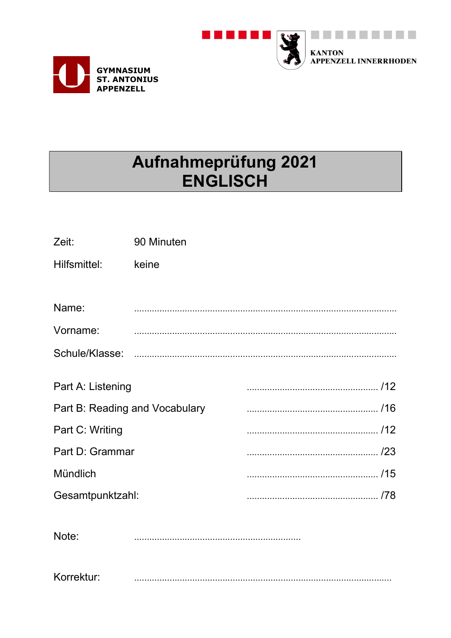



# Aufnahmeprüfung 2021 **ENGLISCH**

| Zeit:                          | 90 Minuten |  |
|--------------------------------|------------|--|
| Hilfsmittel:                   | keine      |  |
|                                |            |  |
| Name:                          |            |  |
| Vorname:                       |            |  |
|                                |            |  |
|                                |            |  |
| Part A: Listening              |            |  |
| Part B: Reading and Vocabulary |            |  |
| Part C: Writing                |            |  |
| Part D: Grammar                |            |  |
| Mündlich                       |            |  |
| Gesamtpunktzahl:               |            |  |
|                                |            |  |
| Note:                          |            |  |

Korrektur: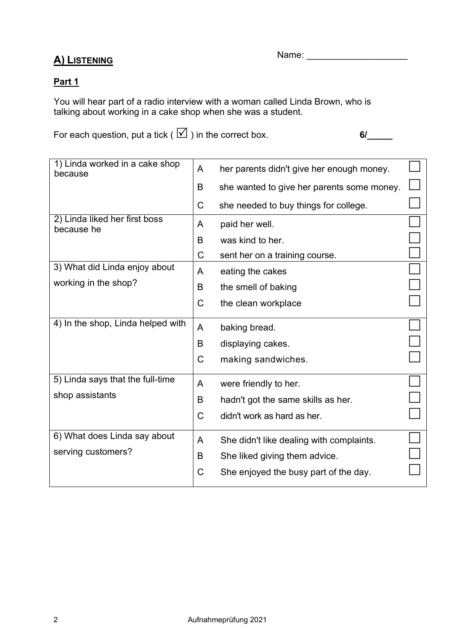## A) LISTENING

Name: \_\_\_\_\_\_\_\_\_\_\_\_\_\_\_\_\_\_\_\_

### Part 1

You will hear part of a radio interview with a woman called Linda Brown, who is talking about working in a cake shop when she was a student.

For each question, put a tick ( ) in the correct box. 6/\_\_\_\_\_

| 1) Linda worked in a cake shop<br>because   | A           | her parents didn't give her enough money.  |  |
|---------------------------------------------|-------------|--------------------------------------------|--|
|                                             | B           | she wanted to give her parents some money. |  |
|                                             | C           | she needed to buy things for college.      |  |
| 2) Linda liked her first boss<br>because he | A           | paid her well.                             |  |
|                                             | B           | was kind to her.                           |  |
|                                             | C           | sent her on a training course.             |  |
| 3) What did Linda enjoy about               | A           | eating the cakes                           |  |
| working in the shop?                        | B           | the smell of baking                        |  |
|                                             | C           | the clean workplace                        |  |
| 4) In the shop, Linda helped with           | A           | baking bread.                              |  |
|                                             | B           | displaying cakes.                          |  |
|                                             | $\mathsf C$ | making sandwiches.                         |  |
| 5) Linda says that the full-time            | A           | were friendly to her.                      |  |
| shop assistants                             | B           | hadn't got the same skills as her.         |  |
|                                             | $\mathsf C$ | didn't work as hard as her.                |  |
| 6) What does Linda say about                | A           | She didn't like dealing with complaints.   |  |
| serving customers?                          | B           | She liked giving them advice.              |  |
|                                             | C           | She enjoyed the busy part of the day.      |  |
|                                             |             |                                            |  |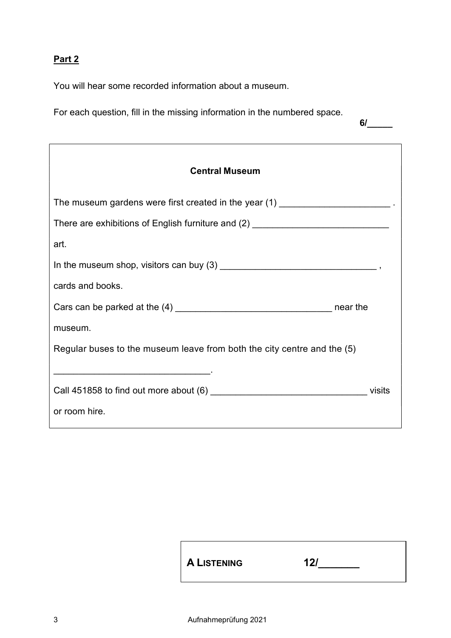# Part 2

You will hear some recorded information about a museum.

For each question, fill in the missing information in the numbered space.

6/\_\_\_\_\_

| <b>Central Museum</b>                                                            |        |
|----------------------------------------------------------------------------------|--------|
| The museum gardens were first created in the year (1) _________________________. |        |
| There are exhibitions of English furniture and (2) _____________________________ |        |
| art.                                                                             |        |
|                                                                                  |        |
| cards and books.                                                                 |        |
|                                                                                  |        |
| museum.                                                                          |        |
| Regular buses to the museum leave from both the city centre and the (5)          |        |
|                                                                                  | visits |
| or room hire.                                                                    |        |

| A LISTENING<br>121 |
|--------------------|
|--------------------|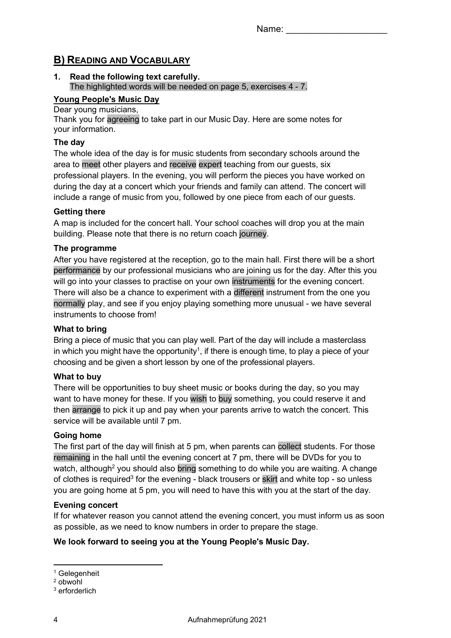## B) READING AND VOCABULARY

#### 1. Read the following text carefully. The highlighted words will be needed on page 5, exercises 4 - 7.

#### Young People's Music Day

#### Dear young musicians,

Thank you for agreeing to take part in our Music Day. Here are some notes for your information.

#### The day

The whole idea of the day is for music students from secondary schools around the area to meet other players and receive expert teaching from our guests, six professional players. In the evening, you will perform the pieces you have worked on during the day at a concert which your friends and family can attend. The concert will include a range of music from you, followed by one piece from each of our guests.

#### Getting there

A map is included for the concert hall. Your school coaches will drop you at the main building. Please note that there is no return coach journey.

#### The programme

After you have registered at the reception, go to the main hall. First there will be a short performance by our professional musicians who are joining us for the day. After this you will go into your classes to practise on your own instruments for the evening concert. There will also be a chance to experiment with a different instrument from the one you normally play, and see if you enjoy playing something more unusual - we have several instruments to choose from!

#### What to bring

Bring a piece of music that you can play well. Part of the day will include a masterclass in which you might have the opportunity<sup>1</sup>, if there is enough time, to play a piece of your choosing and be given a short lesson by one of the professional players.

#### What to buy

There will be opportunities to buy sheet music or books during the day, so you may want to have money for these. If you wish to buy something, you could reserve it and then arrange to pick it up and pay when your parents arrive to watch the concert. This service will be available until 7 pm.

#### Going home

The first part of the day will finish at 5 pm, when parents can collect students. For those remaining in the hall until the evening concert at 7 pm, there will be DVDs for you to watch, although<sup>2</sup> you should also bring something to do while you are waiting. A change of clothes is required<sup>3</sup> for the evening - black trousers or skirt and white top - so unless you are going home at 5 pm, you will need to have this with you at the start of the day.

#### Evening concert

If for whatever reason you cannot attend the evening concert, you must inform us as soon as possible, as we need to know numbers in order to prepare the stage.

#### We look forward to seeing you at the Young People's Music Day.

<sup>1</sup> Gelegenheit

<sup>2</sup> obwohl

<sup>3</sup> erforderlich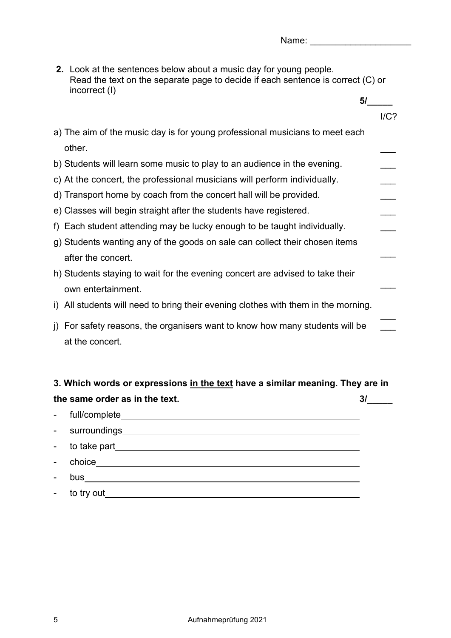2. Look at the sentences below about a music day for young people. Read the text on the separate page to decide if each sentence is correct (C) or incorrect (I)

Name: \_\_\_\_\_\_\_\_\_\_\_\_\_\_\_\_\_\_\_\_

|    |                                                                                              | 5/      |
|----|----------------------------------------------------------------------------------------------|---------|
|    |                                                                                              | $I/C$ ? |
|    | a) The aim of the music day is for young professional musicians to meet each                 |         |
|    | other.                                                                                       |         |
|    | b) Students will learn some music to play to an audience in the evening.                     |         |
|    | c) At the concert, the professional musicians will perform individually.                     |         |
|    | d) Transport home by coach from the concert hall will be provided.                           |         |
|    | e) Classes will begin straight after the students have registered.                           |         |
|    | f) Each student attending may be lucky enough to be taught individually.                     |         |
|    | g) Students wanting any of the goods on sale can collect their chosen items                  |         |
|    | after the concert.                                                                           |         |
|    | h) Students staying to wait for the evening concert are advised to take their                |         |
|    | own entertainment.                                                                           |         |
| i) | All students will need to bring their evening clothes with them in the morning.              |         |
| j) | For safety reasons, the organisers want to know how many students will be<br>at the concert. |         |

# 3. Which words or expressions in the text have a similar meaning. They are in the same order as in the text.  $3/$

- full/complete - surroundings - to take part - choice
- bus
- to try out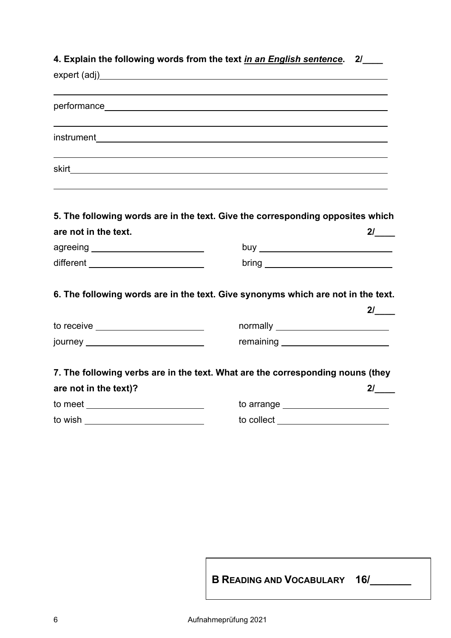| 4. Explain the following words from the text in an English sentence. 2/          |                                       |    |
|----------------------------------------------------------------------------------|---------------------------------------|----|
|                                                                                  |                                       |    |
|                                                                                  |                                       |    |
|                                                                                  |                                       |    |
| 5. The following words are in the text. Give the corresponding opposites which   |                                       |    |
| are not in the text.                                                             |                                       | 2/ |
| agreeing _________________________                                               |                                       |    |
| different ___________________________                                            |                                       |    |
| 6. The following words are in the text. Give synonyms which are not in the text. |                                       |    |
|                                                                                  |                                       | 21 |
| to receive ________________________                                              | normally $\overline{\qquad \qquad }$  |    |
| journey ____________________________                                             | remaining ___________________________ |    |
| 7. The following verbs are in the text. What are the corresponding nouns (they   |                                       |    |
| are not in the text)?                                                            |                                       |    |
| to meet ___________________________                                              | to arrange <u>substance</u>           |    |
| to wish ____________________________                                             | to collect ________________________   |    |

B READING AND VOCABULARY 16/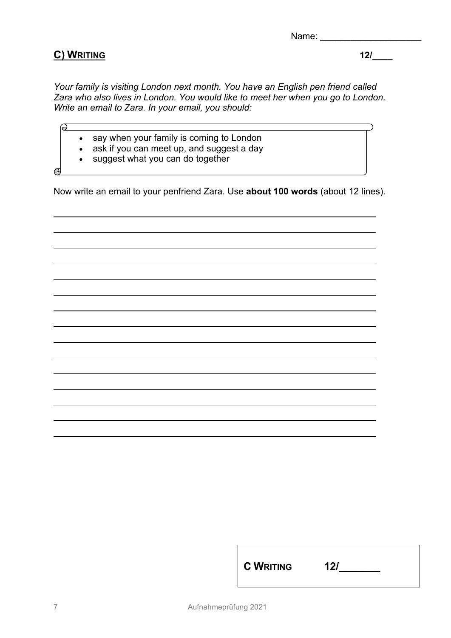Name: \_\_\_\_\_\_\_\_\_\_\_\_\_\_\_\_\_\_\_\_

## C) WRITING 12/\_\_\_\_

Your family is visiting London next month. You have an English pen friend called Zara who also lives in London. You would like to meet her when you go to London. Write an email to Zara. In your email, you should:

- say when your family is coming to London
- ask if you can meet up, and suggest a day
- suggest what you can do together

 $\sigma$ 

൙

L

L

Now write an email to your penfriend Zara. Use about 100 words (about 12 lines).

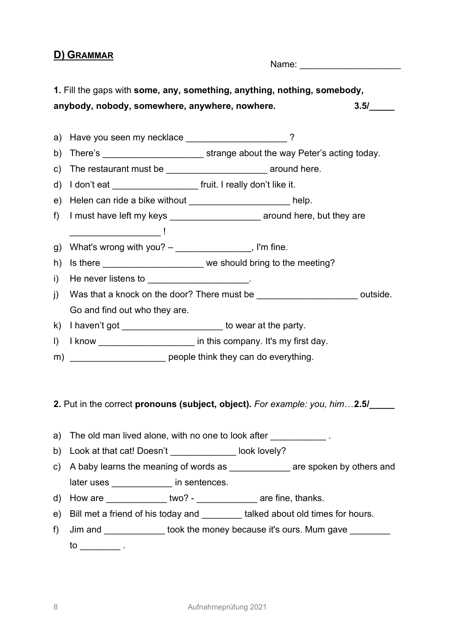#### D) GRAMMAR

Name:  $\blacksquare$ 

1. Fill the gaps with some, any, something, anything, nothing, somebody, anybody, nobody, somewhere, anywhere, nowhere.  $3.5/$ 

a) Have you seen my necklace \_\_\_\_\_\_\_\_\_\_\_\_\_\_\_\_\_\_\_\_\_\_\_\_\_\_?

b) There's \_\_\_\_\_\_\_\_\_\_\_\_\_\_\_\_\_\_\_\_ strange about the way Peter's acting today.

c) The restaurant must be \_\_\_\_\_\_\_\_\_\_\_\_\_\_\_\_\_\_\_\_\_\_\_\_\_\_\_\_\_ around here.

d) I don't eat **the intervallation** fruit. I really don't like it.

e) Helen can ride a bike without example a control of the help.

- f) I must have left my keys exact around here, but they are \_\_\_\_\_\_\_\_\_\_\_\_\_\_\_\_\_\_ !
- g) What's wrong with you?  $-\frac{1}{2}$  and  $\frac{1}{2}$  when  $\frac{1}{2}$  and  $\frac{1}{2}$  and  $\frac{1}{2}$  and  $\frac{1}{2}$  and  $\frac{1}{2}$  and  $\frac{1}{2}$  and  $\frac{1}{2}$  and  $\frac{1}{2}$  and  $\frac{1}{2}$  and  $\frac{1}{2}$  and  $\frac{1}{2}$  and  $\frac{1}{2}$  an
- h) Is there \_\_\_\_\_\_\_\_\_\_\_\_\_\_\_\_\_\_\_\_\_\_ we should bring to the meeting?
- $i)$  He never listens to
- j) Was that a knock on the door? There must be  $\blacksquare$  outside. Go and find out who they are.
- k) I haven't got \_\_\_\_\_\_\_\_\_\_\_\_\_\_\_\_\_\_\_\_\_\_\_ to wear at the party.
- I) I know \_\_\_\_\_\_\_\_\_\_\_\_\_\_\_\_\_\_\_\_\_\_ in this company. It's my first day.
- m) \_\_\_\_\_\_\_\_\_\_\_\_\_\_\_\_\_\_\_\_\_\_\_\_\_ people think they can do everything.

#### 2. Put in the correct pronouns (subject, object). For example: you, him...2.5/

- a) The old man lived alone, with no one to look after  $\blacksquare$
- b) Look at that cat! Doesn't look lovely?
- c) A baby learns the meaning of words as **Example 2** are spoken by others and later uses **and in** sentences.
- d) How are \_\_\_\_\_\_\_\_\_\_\_\_\_\_\_ two? \_\_\_\_\_\_\_\_\_\_\_\_\_\_\_ are fine, thanks.
- e) Bill met a friend of his today and \_\_\_\_\_\_\_\_ talked about old times for hours.
- f) Jim and **took the money because it's ours. Mum gave**  $\begin{array}{ccc} \text{to} & \overline{\phantom{a}} \\ \end{array}$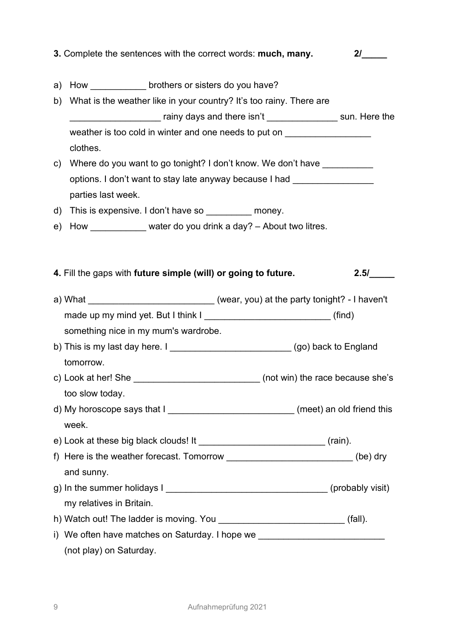| 3. Complete the sentences with the correct words: much, many.                        | 21   |
|--------------------------------------------------------------------------------------|------|
| a) How _______________ brothers or sisters do you have?                              |      |
| b) What is the weather like in your country? It's too rainy. There are               |      |
| _____________________ rainy days and there isn't ________________ sun. Here the      |      |
| weather is too cold in winter and one needs to put on __________________________     |      |
| clothes.                                                                             |      |
| c) Where do you want to go tonight? I don't know. We don't have __________           |      |
| options. I don't want to stay late anyway because I had __________________           |      |
| parties last week.                                                                   |      |
| d) This is expensive. I don't have so _________ money.                               |      |
| e) How ____________ water do you drink a day? - About two litres.                    |      |
|                                                                                      |      |
| 4. Fill the gaps with future simple (will) or going to future.                       | 2.5/ |
| a) What _______________________________(wear, you) at the party tonight? - I haven't |      |
| made up my mind yet. But I think I __________________________________(find)          |      |
| something nice in my mum's wardrobe.                                                 |      |
| b) This is my last day here. $I_{\text{max}}$ (go) back to England                   |      |
| tomorrow.                                                                            |      |
| (not win) the race because she's<br>c) Look at her! She                              |      |
| too slow today.                                                                      |      |
| d) My horoscope says that I ______________________________(meet) an old friend this  |      |
| week.                                                                                |      |
|                                                                                      |      |
| f) Here is the weather forecast. Tomorrow ____________________________(be) dry       |      |
| and sunny.                                                                           |      |
|                                                                                      |      |
| my relatives in Britain.                                                             |      |
| h) Watch out! The ladder is moving. You ______________________________(fall).        |      |
| i) We often have matches on Saturday. I hope we ________________________________     |      |
| (not play) on Saturday.                                                              |      |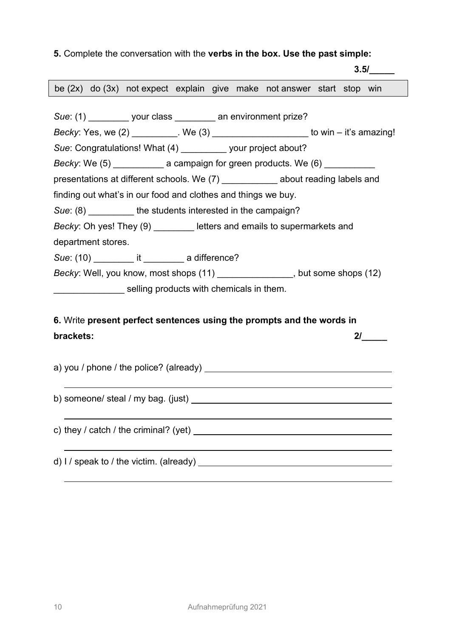#### 5. Complete the conversation with the verbs in the box. Use the past simple:

 3.5/\_\_\_\_\_ Sue: (1) \_\_\_\_\_\_\_\_ your class \_\_\_\_\_\_\_\_ an environment prize? Becky: Yes, we  $(2)$  We  $(3)$  We  $(3)$  to win – it's amazing! Sue: Congratulations! What (4) \_\_\_\_\_\_\_\_ your project about? Becky: We (5) **Exampaign for green products. We (6)** Becky: We (6) presentations at different schools. We (7) about reading labels and finding out what's in our food and clothes and things we buy. Sue: (8) **the students interested in the campaign?** Becky: Oh yes! They (9) letters and emails to supermarkets and department stores. Sue: (10) \_\_\_\_\_\_\_\_\_ it \_\_\_\_\_\_\_\_ a difference? Becky: Well, you know, most shops (11) \_\_\_\_\_\_\_\_\_\_\_\_\_\_\_, but some shops (12) **EXECUTE:** Selling products with chemicals in them. be (2x) do (3x) not expect explain give make not answer start stop win

# 6. Write present perfect sentences using the prompts and the words in brackets: 2/\_\_\_\_\_

a) you / phone / the police? (already)

b) someone/ steal / my bag. (just)

c) they / catch / the criminal? (yet)

d) I / speak to / the victim. (already)

ı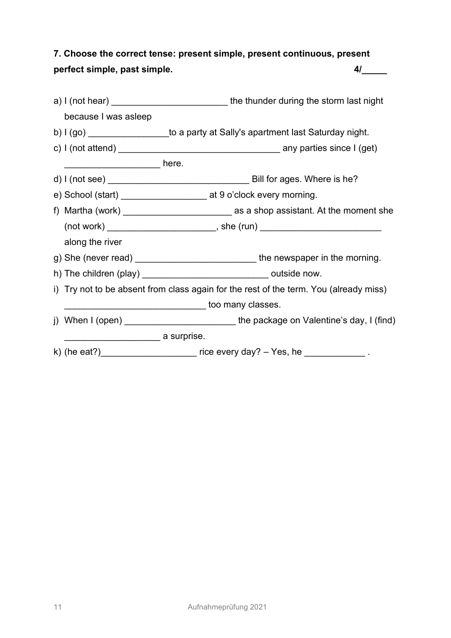7. Choose the correct tense: present simple, present continuous, present perfect simple, past simple.  $4/$ 

|                      | a) I (not hear) ________________________________the thunder during the storm last night |  |
|----------------------|-----------------------------------------------------------------------------------------|--|
| because I was asleep |                                                                                         |  |
|                      | b) I (go) ___________________to a party at Sally's apartment last Saturday night.       |  |
|                      | c) I (not attend) $\frac{1}{2}$ any parties since I (get)                               |  |
|                      |                                                                                         |  |
|                      |                                                                                         |  |
|                      | e) School (start) _______________________ at 9 o'clock every morning.                   |  |
|                      |                                                                                         |  |
|                      |                                                                                         |  |
| along the river      |                                                                                         |  |
|                      | g) She (never read) ______________________________the newspaper in the morning.         |  |
|                      | h) The children (play) ________________________________ outside now.                    |  |
|                      | i) Try not to be absent from class again for the rest of the term. You (already miss)   |  |
|                      | __________________ too many classes.                                                    |  |
|                      | j) When I (open) ________________________the package on Valentine's day, I (find)       |  |
|                      | ____________________ a surprise.                                                        |  |
|                      | k) (he eat?)____________________________ rice every day? - Yes, he ________________.    |  |